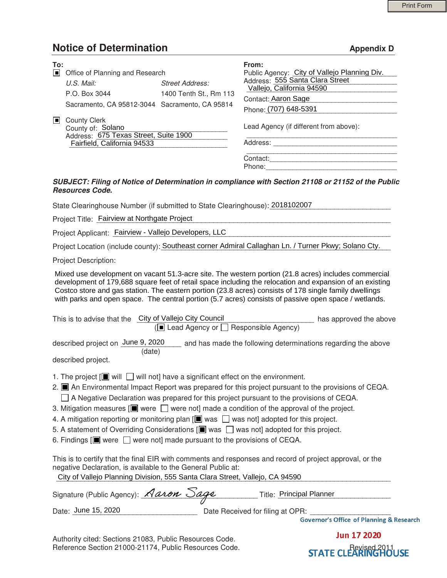# **Notice of Determination** Appendix D **Appendix D**

| To:<br>O. | Office of Planning and Research                                                                                                                                                                    |                                         | From:<br>Public Agency: City of Vallejo Planning Div.                                                                                                                                                                                                                                                                                                                                                                                                                                                                                      |
|-----------|----------------------------------------------------------------------------------------------------------------------------------------------------------------------------------------------------|-----------------------------------------|--------------------------------------------------------------------------------------------------------------------------------------------------------------------------------------------------------------------------------------------------------------------------------------------------------------------------------------------------------------------------------------------------------------------------------------------------------------------------------------------------------------------------------------------|
|           | U.S. Mail:                                                                                                                                                                                         | <b>Street Address:</b>                  | Address: 555 Santa Clara Street                                                                                                                                                                                                                                                                                                                                                                                                                                                                                                            |
|           | P.O. Box 3044                                                                                                                                                                                      | 1400 Tenth St., Rm 113                  | Vallejo, California 94590                                                                                                                                                                                                                                                                                                                                                                                                                                                                                                                  |
|           | Sacramento, CA 95812-3044 Sacramento, CA 95814                                                                                                                                                     |                                         | Contact: Aaron Sage                                                                                                                                                                                                                                                                                                                                                                                                                                                                                                                        |
|           |                                                                                                                                                                                                    |                                         | Phone: (707) 648-5391                                                                                                                                                                                                                                                                                                                                                                                                                                                                                                                      |
|           | County Clerk<br>County of: Solano<br>Address: 675 Texas Street, Suite 1900                                                                                                                         |                                         | Lead Agency (if different from above):                                                                                                                                                                                                                                                                                                                                                                                                                                                                                                     |
|           | Fairfield, California 94533                                                                                                                                                                        |                                         |                                                                                                                                                                                                                                                                                                                                                                                                                                                                                                                                            |
|           |                                                                                                                                                                                                    |                                         | Contact:                                                                                                                                                                                                                                                                                                                                                                                                                                                                                                                                   |
|           |                                                                                                                                                                                                    |                                         |                                                                                                                                                                                                                                                                                                                                                                                                                                                                                                                                            |
|           | <b>Resources Code.</b>                                                                                                                                                                             |                                         | SUBJECT: Filing of Notice of Determination in compliance with Section 21108 or 21152 of the Public                                                                                                                                                                                                                                                                                                                                                                                                                                         |
|           | State Clearinghouse Number (if submitted to State Clearinghouse): 2018102007                                                                                                                       |                                         |                                                                                                                                                                                                                                                                                                                                                                                                                                                                                                                                            |
|           | Project Title: Fairview at Northgate Project                                                                                                                                                       |                                         |                                                                                                                                                                                                                                                                                                                                                                                                                                                                                                                                            |
|           | Project Applicant: Fairview - Vallejo Developers, LLC                                                                                                                                              |                                         | the control of the control of the control of the control of the control of the control of                                                                                                                                                                                                                                                                                                                                                                                                                                                  |
|           |                                                                                                                                                                                                    |                                         | Project Location (include county): Southeast corner Admiral Callaghan Ln. / Turner Pkwy; Solano Cty.                                                                                                                                                                                                                                                                                                                                                                                                                                       |
|           | <b>Project Description:</b>                                                                                                                                                                        |                                         |                                                                                                                                                                                                                                                                                                                                                                                                                                                                                                                                            |
|           | This is to advise that the City of Vallejo City Council                                                                                                                                            |                                         | development of 179,688 square feet of retail space including the relocation and expansion of an existing<br>Costco store and gas station. The eastern portion (23.8 acres) consists of 178 single family dwellings<br>with parks and open space. The central portion (5.7 acres) consists of passive open space / wetlands.<br>has approved the above                                                                                                                                                                                      |
|           |                                                                                                                                                                                                    | (■ Lead Agency or □ Responsible Agency) |                                                                                                                                                                                                                                                                                                                                                                                                                                                                                                                                            |
|           | (date)                                                                                                                                                                                             |                                         | described project on June 9, 2020 __ and has made the following determinations regarding the above                                                                                                                                                                                                                                                                                                                                                                                                                                         |
|           | described project.                                                                                                                                                                                 |                                         |                                                                                                                                                                                                                                                                                                                                                                                                                                                                                                                                            |
|           | 1. The project $[\blacksquare]$ will $\Box$ will not] have a significant effect on the environment.<br>6. Findings $[\blacksquare]$ were $\Box$ were not] made pursuant to the provisions of CEQA. |                                         | 2.   An Environmental Impact Report was prepared for this project pursuant to the provisions of CEQA.<br>$\Box$ A Negative Declaration was prepared for this project pursuant to the provisions of CEQA.<br>3. Mitigation measures $[\blacksquare]$ were $\Box$ were not] made a condition of the approval of the project.<br>4. A mitigation reporting or monitoring plan [I] was $\Box$ was not] adopted for this project.<br>5. A statement of Overriding Considerations $[\blacksquare]$ was $\Box$ was not] adopted for this project. |
|           | negative Declaration, is available to the General Public at:<br>City of Vallejo Planning Division, 555 Santa Clara Street, Vallejo, CA 94590                                                       |                                         | This is to certify that the final EIR with comments and responses and record of project approval, or the                                                                                                                                                                                                                                                                                                                                                                                                                                   |
|           | Signature (Public Agency): Aaron Sage                                                                                                                                                              |                                         | _ Title: Principal Planner                                                                                                                                                                                                                                                                                                                                                                                                                                                                                                                 |
|           | Date: June 15, 2020                                                                                                                                                                                |                                         | Date Received for filing at OPR:                                                                                                                                                                                                                                                                                                                                                                                                                                                                                                           |

#### *SUBJECT: Filing of Notice of Determination in compliance with Section 21108 or 21152 of the Public Resources Code.*

| This is to advise that the                              | City of Vallejo City Council | $(\blacksquare$ Lead Agency or $\blacksquare$ Responsible Agency) | has approved the above |
|---------------------------------------------------------|------------------------------|-------------------------------------------------------------------|------------------------|
| described project on June 9, 2020<br>described project. | (date)                       | and has made the following determinations regarding the above     |                        |
|                                                         |                              |                                                                   |                        |

- 1. The project  $[\blacksquare]$  will  $\blacksquare$  will not] have a significant effect on the environment. 2. ■ An Environmental Impact Report was prepared for this project pursuant to the provisions of CEQA.  $\Box$  A Negative Declaration was prepared for this project pursuant to the provisions of CEQA.
- 3. Mitigation measures  $[\blacksquare]$  were  $\bigsqcup$  were not] made a condition of the approval of the project.
- 4. A mitigation reporting or monitoring plan  $[\blacksquare$  was  $\Box$  was not] adopted for this project.
- 5. A statement of Overriding Considerations  $[\blacksquare]$  was  $\square$  was not] adopted for this project.
- 6. Findings  $[\blacksquare]$  were  $\Box$  were not] made pursuant to the provisions of CEQA.

| Signature (Public Agency): Aaron Sage | Title: Principal Planner         |  |
|---------------------------------------|----------------------------------|--|
|                                       |                                  |  |
| Date: June 15, 2020                   | Date Received for filing at OPR: |  |

 Authority cited: Sections 21083, Public Resources Code. Reference Section 21000-21174, Public Resources Code.<br> **STATE CLEARINGHOUSE** 

**Jun 17 2020**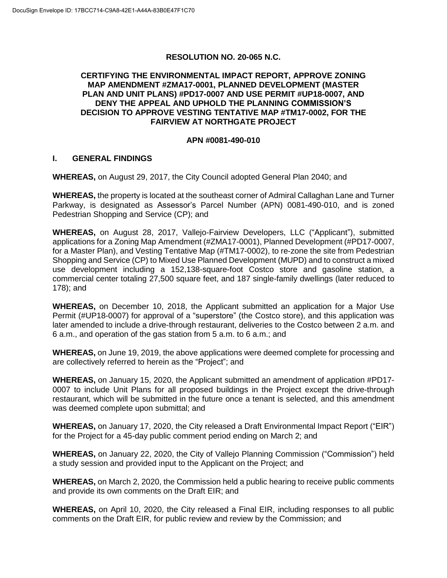## **RESOLUTION NO. 20-065 N.C.**

## **CERTIFYING THE ENVIRONMENTAL IMPACT REPORT, APPROVE ZONING MAP AMENDMENT #ZMA17-0001, PLANNED DEVELOPMENT (MASTER PLAN AND UNIT PLANS) #PD17-0007 AND USE PERMIT #UP18-0007, AND DENY THE APPEAL AND UPHOLD THE PLANNING COMMISSION'S DECISION TO APPROVE VESTING TENTATIVE MAP #TM17-0002, FOR THE FAIRVIEW AT NORTHGATE PROJECT**

## **APN #0081-490-010**

## **I. GENERAL FINDINGS**

**WHEREAS,** on August 29, 2017, the City Council adopted General Plan 2040; and

**WHEREAS,** the property is located at the southeast corner of Admiral Callaghan Lane and Turner Parkway, is designated as Assessor's Parcel Number (APN) 0081-490-010, and is zoned Pedestrian Shopping and Service (CP); and

**WHEREAS,** on August 28, 2017, Vallejo-Fairview Developers, LLC ("Applicant"), submitted applications for a Zoning Map Amendment (#ZMA17-0001), Planned Development (#PD17-0007, for a Master Plan), and Vesting Tentative Map (#TM17-0002), to re-zone the site from Pedestrian Shopping and Service (CP) to Mixed Use Planned Development (MUPD) and to construct a mixed use development including a 152,138-square-foot Costco store and gasoline station, a commercial center totaling 27,500 square feet, and 187 single-family dwellings (later reduced to 178); and

**WHEREAS,** on December 10, 2018, the Applicant submitted an application for a Major Use Permit (#UP18-0007) for approval of a "superstore" (the Costco store), and this application was later amended to include a drive-through restaurant, deliveries to the Costco between 2 a.m. and 6 a.m., and operation of the gas station from 5 a.m. to 6 a.m.; and

**WHEREAS,** on June 19, 2019, the above applications were deemed complete for processing and are collectively referred to herein as the "Project"; and

**WHEREAS,** on January 15, 2020, the Applicant submitted an amendment of application #PD17- 0007 to include Unit Plans for all proposed buildings in the Project except the drive-through restaurant, which will be submitted in the future once a tenant is selected, and this amendment was deemed complete upon submittal; and

**WHEREAS,** on January 17, 2020, the City released a Draft Environmental Impact Report ("EIR") for the Project for a 45-day public comment period ending on March 2; and

**WHEREAS,** on January 22, 2020, the City of Vallejo Planning Commission ("Commission") held a study session and provided input to the Applicant on the Project; and

**WHEREAS,** on March 2, 2020, the Commission held a public hearing to receive public comments and provide its own comments on the Draft EIR; and

**WHEREAS,** on April 10, 2020, the City released a Final EIR, including responses to all public comments on the Draft EIR, for public review and review by the Commission; and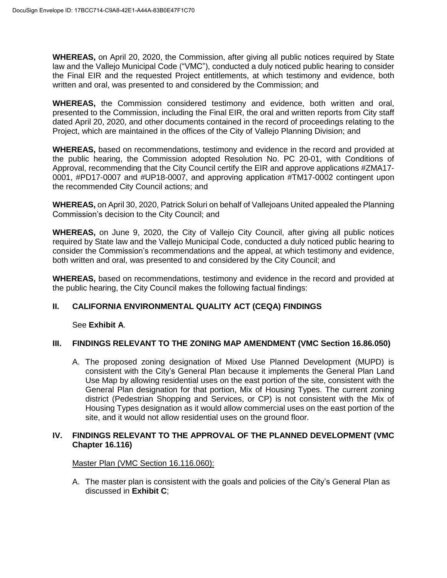**WHEREAS,** on April 20, 2020, the Commission, after giving all public notices required by State law and the Vallejo Municipal Code ("VMC"), conducted a duly noticed public hearing to consider the Final EIR and the requested Project entitlements, at which testimony and evidence, both written and oral, was presented to and considered by the Commission; and

**WHEREAS,** the Commission considered testimony and evidence, both written and oral, presented to the Commission, including the Final EIR, the oral and written reports from City staff dated April 20, 2020, and other documents contained in the record of proceedings relating to the Project, which are maintained in the offices of the City of Vallejo Planning Division; and

**WHEREAS,** based on recommendations, testimony and evidence in the record and provided at the public hearing, the Commission adopted Resolution No. PC 20-01, with Conditions of Approval, recommending that the City Council certify the EIR and approve applications #ZMA17- 0001, #PD17-0007 and #UP18-0007, and approving application #TM17-0002 contingent upon the recommended City Council actions; and

**WHEREAS,** on April 30, 2020, Patrick Soluri on behalf of Vallejoans United appealed the Planning Commission's decision to the City Council; and

**WHEREAS,** on June 9, 2020, the City of Vallejo City Council, after giving all public notices required by State law and the Vallejo Municipal Code, conducted a duly noticed public hearing to consider the Commission's recommendations and the appeal, at which testimony and evidence, both written and oral, was presented to and considered by the City Council; and

**WHEREAS,** based on recommendations, testimony and evidence in the record and provided at the public hearing, the City Council makes the following factual findings:

## **II. CALIFORNIA ENVIRONMENTAL QUALITY ACT (CEQA) FINDINGS**

See **Exhibit A**.

## **III. FINDINGS RELEVANT TO THE ZONING MAP AMENDMENT (VMC Section 16.86.050)**

A. The proposed zoning designation of Mixed Use Planned Development (MUPD) is consistent with the City's General Plan because it implements the General Plan Land Use Map by allowing residential uses on the east portion of the site, consistent with the General Plan designation for that portion, Mix of Housing Types. The current zoning district (Pedestrian Shopping and Services, or CP) is not consistent with the Mix of Housing Types designation as it would allow commercial uses on the east portion of the site, and it would not allow residential uses on the ground floor.

## **IV. FINDINGS RELEVANT TO THE APPROVAL OF THE PLANNED DEVELOPMENT (VMC Chapter 16.116)**

Master Plan (VMC Section 16.116.060):

A. The master plan is consistent with the goals and policies of the City's General Plan as discussed in **Exhibit C**;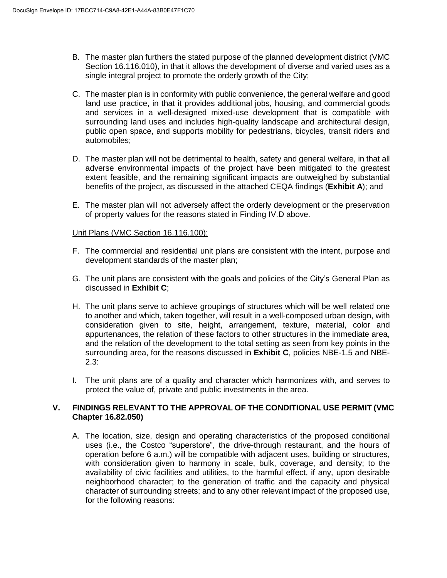- B. The master plan furthers the stated purpose of the planned development district (VMC Section 16.116.010), in that it allows the development of diverse and varied uses as a single integral project to promote the orderly growth of the City;
- C. The master plan is in conformity with public convenience, the general welfare and good land use practice, in that it provides additional jobs, housing, and commercial goods and services in a well-designed mixed-use development that is compatible with surrounding land uses and includes high-quality landscape and architectural design, public open space, and supports mobility for pedestrians, bicycles, transit riders and automobiles;
- D. The master plan will not be detrimental to health, safety and general welfare, in that all adverse environmental impacts of the project have been mitigated to the greatest extent feasible, and the remaining significant impacts are outweighed by substantial benefits of the project, as discussed in the attached CEQA findings (**Exhibit A**); and
- E. The master plan will not adversely affect the orderly development or the preservation of property values for the reasons stated in Finding IV.D above.

## Unit Plans (VMC Section 16.116.100):

- F. The commercial and residential unit plans are consistent with the intent, purpose and development standards of the master plan;
- G. The unit plans are consistent with the goals and policies of the City's General Plan as discussed in **Exhibit C**;
- H. The unit plans serve to achieve groupings of structures which will be well related one to another and which, taken together, will result in a well-composed urban design, with consideration given to site, height, arrangement, texture, material, color and appurtenances, the relation of these factors to other structures in the immediate area, and the relation of the development to the total setting as seen from key points in the surrounding area, for the reasons discussed in **Exhibit C**, policies NBE-1.5 and NBE-2.3:
- I. The unit plans are of a quality and character which harmonizes with, and serves to protect the value of, private and public investments in the area.

## **V. FINDINGS RELEVANT TO THE APPROVAL OF THE CONDITIONAL USE PERMIT (VMC Chapter 16.82.050)**

A. The location, size, design and operating characteristics of the proposed conditional uses (i.e., the Costco "superstore", the drive-through restaurant, and the hours of operation before 6 a.m.) will be compatible with adjacent uses, building or structures, with consideration given to harmony in scale, bulk, coverage, and density; to the availability of civic facilities and utilities, to the harmful effect, if any, upon desirable neighborhood character; to the generation of traffic and the capacity and physical character of surrounding streets; and to any other relevant impact of the proposed use, for the following reasons: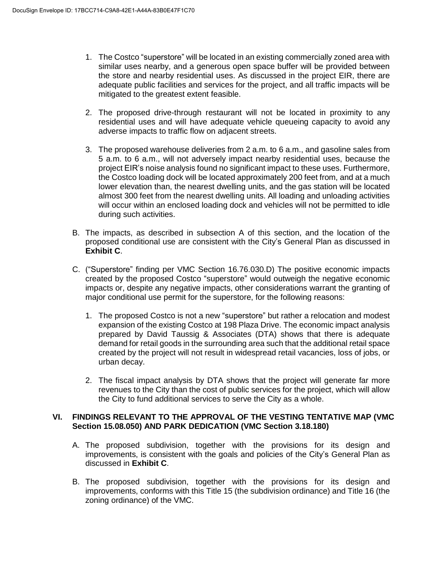- 1. The Costco "superstore" will be located in an existing commercially zoned area with similar uses nearby, and a generous open space buffer will be provided between the store and nearby residential uses. As discussed in the project EIR, there are adequate public facilities and services for the project, and all traffic impacts will be mitigated to the greatest extent feasible.
- 2. The proposed drive-through restaurant will not be located in proximity to any residential uses and will have adequate vehicle queueing capacity to avoid any adverse impacts to traffic flow on adjacent streets.
- 3. The proposed warehouse deliveries from 2 a.m. to 6 a.m., and gasoline sales from 5 a.m. to 6 a.m., will not adversely impact nearby residential uses, because the project EIR's noise analysis found no significant impact to these uses. Furthermore, the Costco loading dock will be located approximately 200 feet from, and at a much lower elevation than, the nearest dwelling units, and the gas station will be located almost 300 feet from the nearest dwelling units. All loading and unloading activities will occur within an enclosed loading dock and vehicles will not be permitted to idle during such activities.
- B. The impacts, as described in subsection A of this section, and the location of the proposed conditional use are consistent with the City's General Plan as discussed in **Exhibit C**.
- C. ("Superstore" finding per VMC Section 16.76.030.D) The positive economic impacts created by the proposed Costco "superstore" would outweigh the negative economic impacts or, despite any negative impacts, other considerations warrant the granting of major conditional use permit for the superstore, for the following reasons:
	- 1. The proposed Costco is not a new "superstore" but rather a relocation and modest expansion of the existing Costco at 198 Plaza Drive. The economic impact analysis prepared by David Taussig & Associates (DTA) shows that there is adequate demand for retail goods in the surrounding area such that the additional retail space created by the project will not result in widespread retail vacancies, loss of jobs, or urban decay.
	- 2. The fiscal impact analysis by DTA shows that the project will generate far more revenues to the City than the cost of public services for the project, which will allow the City to fund additional services to serve the City as a whole.

## **VI. FINDINGS RELEVANT TO THE APPROVAL OF THE VESTING TENTATIVE MAP (VMC Section 15.08.050) AND PARK DEDICATION (VMC Section 3.18.180)**

- A. The proposed subdivision, together with the provisions for its design and improvements, is consistent with the goals and policies of the City's General Plan as discussed in **Exhibit C**.
- B. The proposed subdivision, together with the provisions for its design and improvements, conforms with this Title 15 (the subdivision ordinance) and Title 16 (the zoning ordinance) of the VMC.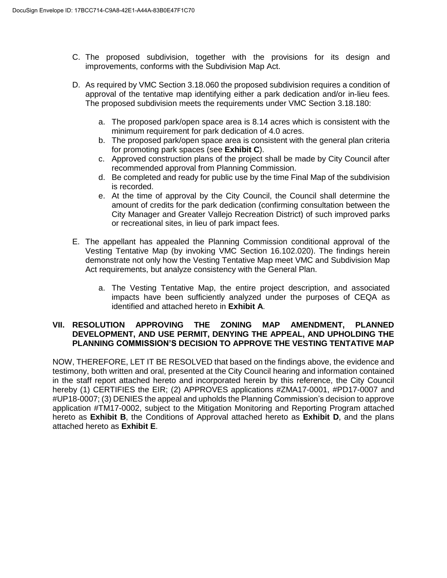- C. The proposed subdivision, together with the provisions for its design and improvements, conforms with the Subdivision Map Act.
- D. As required by VMC Section 3.18.060 the proposed subdivision requires a condition of approval of the tentative map identifying either a park dedication and/or in-lieu fees. The proposed subdivision meets the requirements under VMC Section 3.18.180:
	- a. The proposed park/open space area is 8.14 acres which is consistent with the minimum requirement for park dedication of 4.0 acres.
	- b. The proposed park/open space area is consistent with the general plan criteria for promoting park spaces (see **Exhibit C**).
	- c. Approved construction plans of the project shall be made by City Council after recommended approval from Planning Commission.
	- d. Be completed and ready for public use by the time Final Map of the subdivision is recorded.
	- e. At the time of approval by the City Council, the Council shall determine the amount of credits for the park dedication (confirming consultation between the City Manager and Greater Vallejo Recreation District) of such improved parks or recreational sites, in lieu of park impact fees.
- E. The appellant has appealed the Planning Commission conditional approval of the Vesting Tentative Map (by invoking VMC Section 16.102.020). The findings herein demonstrate not only how the Vesting Tentative Map meet VMC and Subdivision Map Act requirements, but analyze consistency with the General Plan.
	- a. The Vesting Tentative Map, the entire project description, and associated impacts have been sufficiently analyzed under the purposes of CEQA as identified and attached hereto in **Exhibit A**.

#### **VII. RESOLUTION APPROVING THE ZONING MAP AMENDMENT, PLANNED DEVELOPMENT, AND USE PERMIT, DENYING THE APPEAL, AND UPHOLDING THE PLANNING COMMISSION'S DECISION TO APPROVE THE VESTING TENTATIVE MAP**

NOW, THEREFORE, LET IT BE RESOLVED that based on the findings above, the evidence and testimony, both written and oral, presented at the City Council hearing and information contained in the staff report attached hereto and incorporated herein by this reference, the City Council hereby (1) CERTIFIES the EIR; (2) APPROVES applications #ZMA17-0001, #PD17-0007 and #UP18-0007; (3) DENIES the appeal and upholds the Planning Commission's decision to approve application #TM17-0002, subject to the Mitigation Monitoring and Reporting Program attached hereto as **Exhibit B**, the Conditions of Approval attached hereto as **Exhibit D**, and the plans attached hereto as **Exhibit E**.